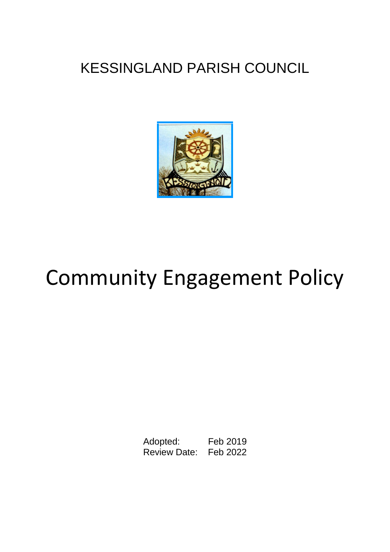# KESSINGLAND PARISH COUNCIL



# Community Engagement Policy

Adopted: Feb 2019 Review Date: Feb 2022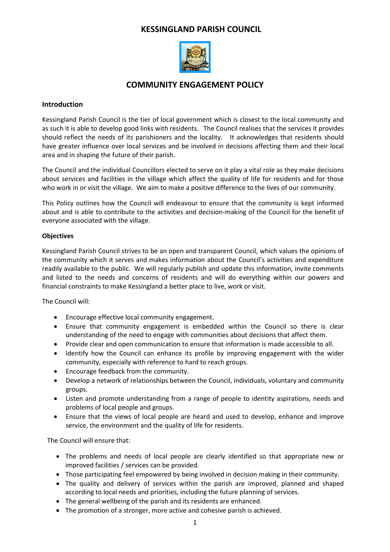### **KESSINGLAND PARISH COUNCIL**



## **COMMUNITY ENGAGEMENT POLICY**

#### **Introduction**

Kessingland Parish Council is the tier of local government which is closest to the local community and as such it is able to develop good links with residents. The Council realises that the services it provides should reflect the needs of its parishioners and the locality. It acknowledges that residents should have greater influence over local services and be involved in decisions affecting them and their local area and in shaping the future of their parish.

The Council and the individual Councillors elected to serve on it play a vital role as they make decisions about services and facilities in the village which affect the quality of life for residents and for those who work in or visit the village. We aim to make a positive difference to the lives of our community.

This Policy outlines how the Council will endeavour to ensure that the community is kept informed about and is able to contribute to the activities and decision-making of the Council for the benefit of everyone associated with the village.

#### **Objectives**

Kessingland Parish Council strives to be an open and transparent Council, which values the opinions of the community which it serves and makes information about the Council's activities and expenditure readily available to the public. We will regularly publish and update this information, invite comments and listed to the needs and concerns of residents and will do everything within our powers and financial constraints to make Kessingland a better place to live, work or visit.

The Council will:

- Encourage effective local community engagement.
- Ensure that community engagement is embedded within the Council so there is clear understanding of the need to engage with communities about decisions that affect them.
- Provide clear and open communication to ensure that information is made accessible to all.
- Identify how the Council can enhance its profile by improving engagement with the wider community, especially with reference to hard to reach groups.
- Encourage feedback from the community.
- Develop a network of relationships between the Council, individuals, voluntary and community groups.
- Listen and promote understanding from a range of people to identity aspirations, needs and problems of local people and groups.
- Ensure that the views of local people are heard and used to develop, enhance and improve service, the environment and the quality of life for residents.

The Council will ensure that:

- The problems and needs of local people are clearly identified so that appropriate new or improved facilities / services can be provided.
- Those participating feel empowered by being involved in decision making in their community.
- The quality and delivery of services within the parish are improved, planned and shaped according to local needs and priorities, including the future planning of services.
- The general wellbeing of the parish and its residents are enhanced.
- The promotion of a stronger, more active and cohesive parish is achieved.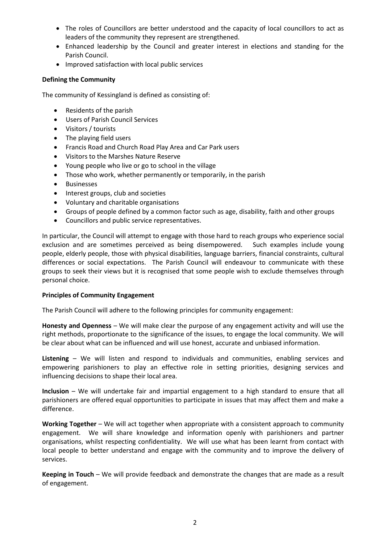- The roles of Councillors are better understood and the capacity of local councillors to act as leaders of the community they represent are strengthened.
- Enhanced leadership by the Council and greater interest in elections and standing for the Parish Council.
- Improved satisfaction with local public services

#### **Defining the Community**

The community of Kessingland is defined as consisting of:

- Residents of the parish
- Users of Parish Council Services
- Visitors / tourists
- The playing field users
- Francis Road and Church Road Play Area and Car Park users
- Visitors to the Marshes Nature Reserve
- Young people who live or go to school in the village
- Those who work, whether permanently or temporarily, in the parish
- Businesses
- Interest groups, club and societies
- Voluntary and charitable organisations
- Groups of people defined by a common factor such as age, disability, faith and other groups
- Councillors and public service representatives.

In particular, the Council will attempt to engage with those hard to reach groups who experience social exclusion and are sometimes perceived as being disempowered. Such examples include young people, elderly people, those with physical disabilities, language barriers, financial constraints, cultural differences or social expectations. The Parish Council will endeavour to communicate with these groups to seek their views but it is recognised that some people wish to exclude themselves through personal choice.

#### **Principles of Community Engagement**

The Parish Council will adhere to the following principles for community engagement:

**Honesty and Openness** – We will make clear the purpose of any engagement activity and will use the right methods, proportionate to the significance of the issues, to engage the local community. We will be clear about what can be influenced and will use honest, accurate and unbiased information.

**Listening** – We will listen and respond to individuals and communities, enabling services and empowering parishioners to play an effective role in setting priorities, designing services and influencing decisions to shape their local area.

**Inclusion** – We will undertake fair and impartial engagement to a high standard to ensure that all parishioners are offered equal opportunities to participate in issues that may affect them and make a difference.

**Working Together** – We will act together when appropriate with a consistent approach to community engagement. We will share knowledge and information openly with parishioners and partner organisations, whilst respecting confidentiality. We will use what has been learnt from contact with local people to better understand and engage with the community and to improve the delivery of services.

**Keeping in Touch** – We will provide feedback and demonstrate the changes that are made as a result of engagement.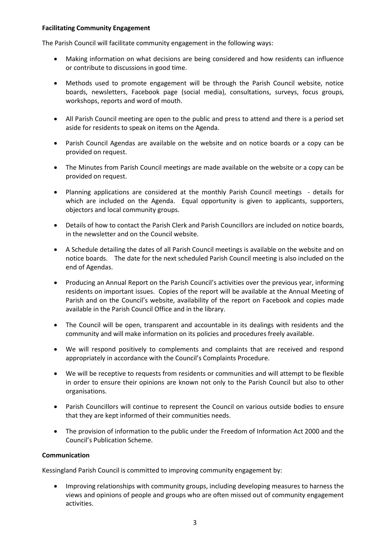#### **Facilitating Community Engagement**

The Parish Council will facilitate community engagement in the following ways:

- Making information on what decisions are being considered and how residents can influence or contribute to discussions in good time.
- Methods used to promote engagement will be through the Parish Council website, notice boards, newsletters, Facebook page (social media), consultations, surveys, focus groups, workshops, reports and word of mouth.
- All Parish Council meeting are open to the public and press to attend and there is a period set aside for residents to speak on items on the Agenda.
- Parish Council Agendas are available on the website and on notice boards or a copy can be provided on request.
- The Minutes from Parish Council meetings are made available on the website or a copy can be provided on request.
- Planning applications are considered at the monthly Parish Council meetings details for which are included on the Agenda. Equal opportunity is given to applicants, supporters, objectors and local community groups.
- Details of how to contact the Parish Clerk and Parish Councillors are included on notice boards, in the newsletter and on the Council website.
- A Schedule detailing the dates of all Parish Council meetings is available on the website and on notice boards. The date for the next scheduled Parish Council meeting is also included on the end of Agendas.
- Producing an Annual Report on the Parish Council's activities over the previous year, informing residents on important issues. Copies of the report will be available at the Annual Meeting of Parish and on the Council's website, availability of the report on Facebook and copies made available in the Parish Council Office and in the library.
- The Council will be open, transparent and accountable in its dealings with residents and the community and will make information on its policies and procedures freely available.
- We will respond positively to complements and complaints that are received and respond appropriately in accordance with the Council's Complaints Procedure.
- We will be receptive to requests from residents or communities and will attempt to be flexible in order to ensure their opinions are known not only to the Parish Council but also to other organisations.
- Parish Councillors will continue to represent the Council on various outside bodies to ensure that they are kept informed of their communities needs.
- The provision of information to the public under the Freedom of Information Act 2000 and the Council's Publication Scheme.

#### **Communication**

Kessingland Parish Council is committed to improving community engagement by:

 Improving relationships with community groups, including developing measures to harness the views and opinions of people and groups who are often missed out of community engagement activities.